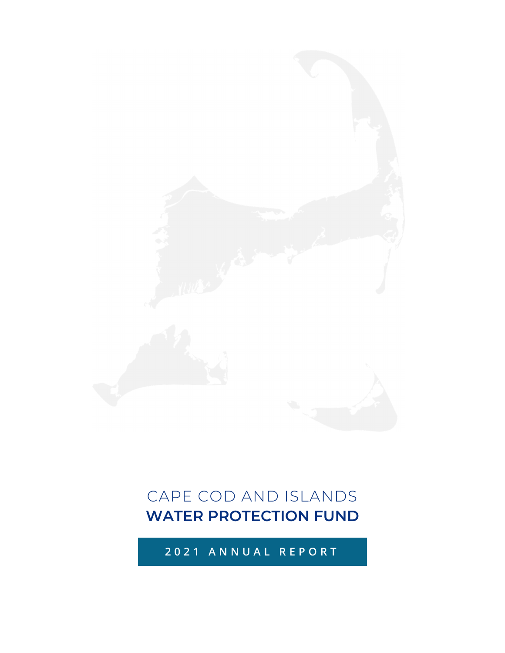## **2021 ANNUAL REPORT**

# CAPE COD AND ISLANDS **WATER PROTECTION FUND**

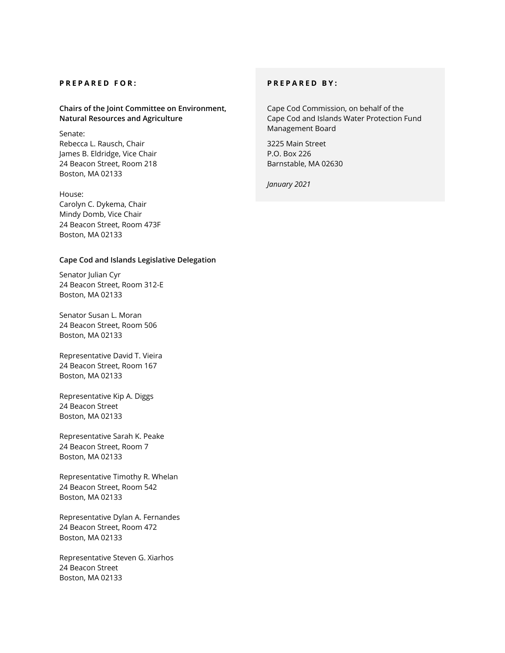#### **PREPARED FOR:**

**Chairs of the Joint Committee on Environment, Natural Resources and Agriculture** 

### Senate:

Rebecca L. Rausch, Chair James B. Eldridge, Vice Chair 24 Beacon Street, Room 218 Boston, MA 02133

#### House:

Carolyn C. Dykema, Chair Mindy Domb, Vice Chair 24 Beacon Street, Room 473F Boston, MA 02133

#### **Cape Cod and Islands Legislative Delegation**

Senator Julian Cyr 24 Beacon Street, Room 312-E Boston, MA 02133

Senator Susan L. Moran 24 Beacon Street, Room 506 Boston, MA 02133

Representative David T. Vieira 24 Beacon Street, Room 167 Boston, MA 02133

Representative Kip A. Diggs 24 Beacon Street Boston, MA 02133

Representative Sarah K. Peake 24 Beacon Street, Room 7 Boston, MA 02133

Representative Timothy R. Whelan 24 Beacon Street, Room 542 Boston, MA 02133

Representative Dylan A. Fernandes 24 Beacon Street, Room 472 Boston, MA 02133

Representative Steven G. Xiarhos 24 Beacon Street Boston, MA 02133

#### **PREPARED BY:**

Cape Cod Commission, on behalf of the Cape Cod and Islands Water Protection Fund Management Board

3225 Main Street P.O. Box 226 Barnstable, MA 02630

*January 2021*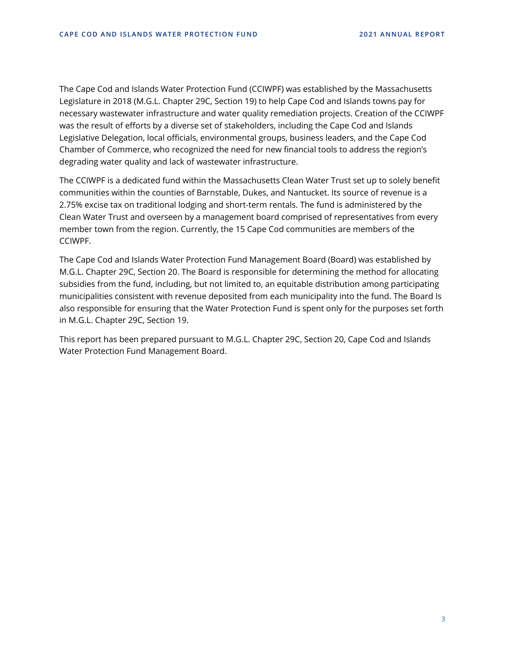The Cape Cod and Islands Water Protection Fund (CCIWPF) was established by the Massachusetts Legislature in 2018 (M.G.L. Chapter 29C, Section 19) to help Cape Cod and Islands towns pay for necessary wastewater infrastructure and water quality remediation projects. Creation of the CCIWPF was the result of efforts by a diverse set of stakeholders, including the Cape Cod and Islands Legislative Delegation, local officials, environmental groups, business leaders, and the Cape Cod Chamber of Commerce, who recognized the need for new financial tools to address the region's degrading water quality and lack of wastewater infrastructure.

The CCIWPF is a dedicated fund within the Massachusetts Clean Water Trust set up to solely benefit communities within the counties of Barnstable, Dukes, and Nantucket. Its source of revenue is a 2.75% excise tax on traditional lodging and short-term rentals. The fund is administered by the Clean Water Trust and overseen by a management board comprised of representatives from every member town from the region. Currently, the 15 Cape Cod communities are members of the CCIWPF.

The Cape Cod and Islands Water Protection Fund Management Board (Board) was established by M.G.L. Chapter 29C, Section 20. The Board is responsible for determining the method for allocating subsidies from the fund, including, but not limited to, an equitable distribution among participating municipalities consistent with revenue deposited from each municipality into the fund. The Board Is also responsible for ensuring that the Water Protection Fund is spent only for the purposes set forth in M.G.L. Chapter 29C, Section 19.

This report has been prepared pursuant to M.G.L. Chapter 29C, Section 20, Cape Cod and Islands Water Protection Fund Management Board.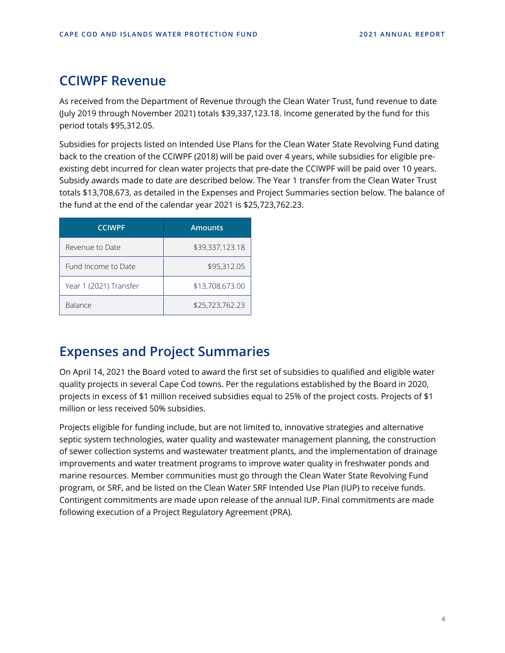## **CCIWPF Revenue**

As received from the Department of Revenue through the Clean Water Trust, fund revenue to date (July 2019 through November 2021) totals \$39,337,123.18. Income generated by the fund for this period totals \$95,312.05.

Subsidies for projects listed on Intended Use Plans for the Clean Water State Revolving Fund dating back to the creation of the CCIWPF (2018) will be paid over 4 years, while subsidies for eligible preexisting debt incurred for clean water projects that pre-date the CCIWPF will be paid over 10 years. Subsidy awards made to date are described below. The Year 1 transfer from the Clean Water Trust totals \$13,708,673, as detailed in the Expenses and Project Summaries section below. The balance of the fund at the end of the calendar year 2021 is \$25,723,762.23.

| <b>CCIWPF</b>          | <b>Amounts</b>  |
|------------------------|-----------------|
| Revenue to Date        | \$39,337,123.18 |
| Fund Income to Date    | \$95,312.05     |
| Year 1 (2021) Transfer | \$13,708,673.00 |
| Balance                | \$25,723,762.23 |

## **Expenses and Project Summaries**

On April 14, 2021 the Board voted to award the first set of subsidies to qualified and eligible water quality projects in several Cape Cod towns. Per the regulations established by the Board in 2020, projects in excess of \$1 million received subsidies equal to 25% of the project costs. Projects of \$1 million or less received 50% subsidies.

Projects eligible for funding include, but are not limited to, innovative strategies and alternative septic system technologies, water quality and wastewater management planning, the construction of sewer collection systems and wastewater treatment plants, and the implementation of drainage improvements and water treatment programs to improve water quality in freshwater ponds and marine resources. Member communities must go through the Clean Water State Revolving Fund program, or SRF, and be listed on the Clean Water SRF Intended Use Plan (IUP) to receive funds. Contingent commitments are made upon release of the annual IUP. Final commitments are made following execution of a Project Regulatory Agreement (PRA).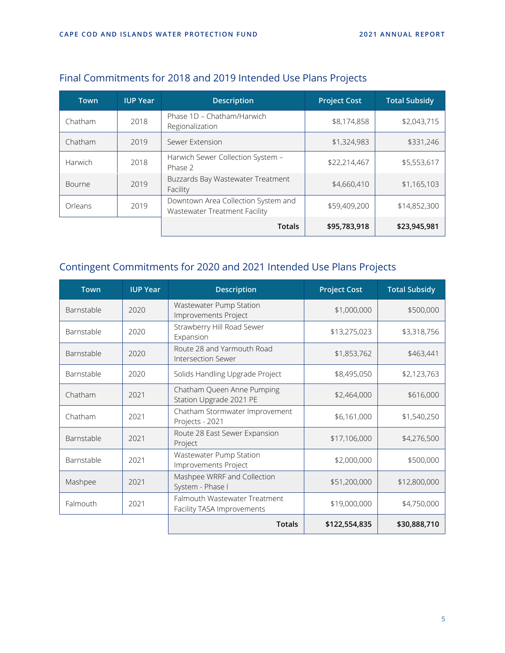| <b>Town</b> | <b>IUP Year</b> | <b>Description</b>                                                   | <b>Project Cost</b> | <b>Total Subsidy</b> |
|-------------|-----------------|----------------------------------------------------------------------|---------------------|----------------------|
| Chatham     | 2018            | Phase 1D - Chatham/Harwich<br>Regionalization                        | \$8,174,858         | \$2,043,715          |
| Chatham     | 2019            | Sewer Extension                                                      | \$1,324,983         | \$331,246            |
| Harwich     | 2018            | Harwich Sewer Collection System -<br>Phase 2                         | \$22,214,467        | \$5,553,617          |
| Bourne      | 2019            | Buzzards Bay Wastewater Treatment<br>Facility                        | \$4,660,410         | \$1,165,103          |
| Orleans     | 2019            | Downtown Area Collection System and<br>Wastewater Treatment Facility | \$59,409,200        | \$14,852,300         |
|             |                 | <b>Totals</b>                                                        | \$95,783,918        | \$23,945,981         |

### Final Commitments for 2018 and 2019 Intended Use Plans Projects

### Contingent Commitments for 2020 and 2021 Intended Use Plans Projects

| <b>Town</b> | <b>IUP Year</b> | <b>Description</b>                                             | <b>Project Cost</b> | <b>Total Subsidy</b> |
|-------------|-----------------|----------------------------------------------------------------|---------------------|----------------------|
| Barnstable  | 2020            | Wastewater Pump Station<br>\$1,000,000<br>Improvements Project |                     | \$500,000            |
| Barnstable  | 2020            | Strawberry Hill Road Sewer<br>Expansion                        | \$13,275,023        | \$3,318,756          |
| Barnstable  | 2020            | Route 28 and Yarmouth Road<br>Intersection Sewer               | \$1,853,762         | \$463,441            |
| Barnstable  | 2020            | Solids Handling Upgrade Project                                | \$8,495,050         | \$2,123,763          |
| Chatham     | 2021            | Chatham Queen Anne Pumping<br>Station Upgrade 2021 PE          | \$2,464,000         | \$616,000            |
| Chatham     | 2021            | Chatham Stormwater Improvement<br>Projects - 2021              | \$6,161,000         | \$1,540,250          |
| Barnstable  | 2021            | Route 28 East Sewer Expansion<br>Project                       | \$17,106,000        | \$4,276,500          |
| Barnstable  | 2021            | Wastewater Pump Station<br>Improvements Project                | \$2,000,000         | \$500,000            |
| Mashpee     | 2021            | Mashpee WRRF and Collection<br>System - Phase I                | \$51,200,000        | \$12,800,000         |
| Falmouth    | 2021            | Falmouth Wastewater Treatment<br>Facility TASA Improvements    | \$19,000,000        | \$4,750,000          |
|             |                 | <b>Totals</b>                                                  | \$122,554,835       | \$30,888,710         |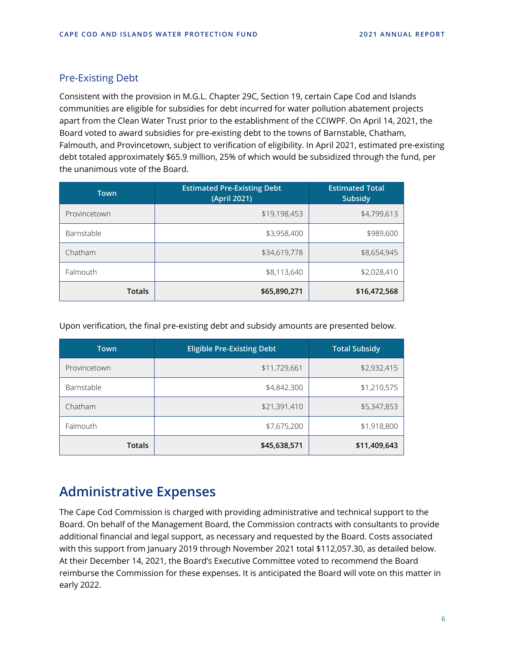### Pre-Existing Debt

Consistent with the provision in M.G.L. Chapter 29C, Section 19, certain Cape Cod and Islands communities are eligible for subsidies for debt incurred for water pollution abatement projects apart from the Clean Water Trust prior to the establishment of the CCIWPF. On April 14, 2021, the Board voted to award subsidies for pre-existing debt to the towns of Barnstable, Chatham, Falmouth, and Provincetown, subject to verification of eligibility. In April 2021, estimated pre-existing debt totaled approximately \$65.9 million, 25% of which would be subsidized through the fund, per the unanimous vote of the Board.

| <b>Town</b>   | <b>Estimated Pre-Existing Debt</b><br>(April 2021) | <b>Estimated Total</b><br><b>Subsidy</b> |  |
|---------------|----------------------------------------------------|------------------------------------------|--|
| Provincetown  | \$19,198,453                                       | \$4,799,613                              |  |
| Barnstable    | \$3,958,400                                        | \$989,600                                |  |
| Chatham       | \$34,619,778                                       | \$8,654,945                              |  |
| Falmouth      | \$8,113,640                                        | \$2,028,410                              |  |
| <b>Totals</b> | \$65,890,271                                       | \$16,472,568                             |  |

Upon verification, the final pre-existing debt and subsidy amounts are presented below.

| <b>Town</b>   | <b>Eligible Pre-Existing Debt</b> | <b>Total Subsidy</b> |  |
|---------------|-----------------------------------|----------------------|--|
| Provincetown  | \$11,729,661                      | \$2,932,415          |  |
| Barnstable    | \$4,842,300                       | \$1,210,575          |  |
| Chatham       | \$21,391,410                      | \$5,347,853          |  |
| Falmouth      | \$7,675,200                       | \$1,918,800          |  |
| <b>Totals</b> | \$45,638,571                      | \$11,409,643         |  |

## **Administrative Expenses**

The Cape Cod Commission is charged with providing administrative and technical support to the Board. On behalf of the Management Board, the Commission contracts with consultants to provide additional financial and legal support, as necessary and requested by the Board. Costs associated with this support from January 2019 through November 2021 total \$112,057.30, as detailed below. At their December 14, 2021, the Board's Executive Committee voted to recommend the Board reimburse the Commission for these expenses. It is anticipated the Board will vote on this matter in early 2022.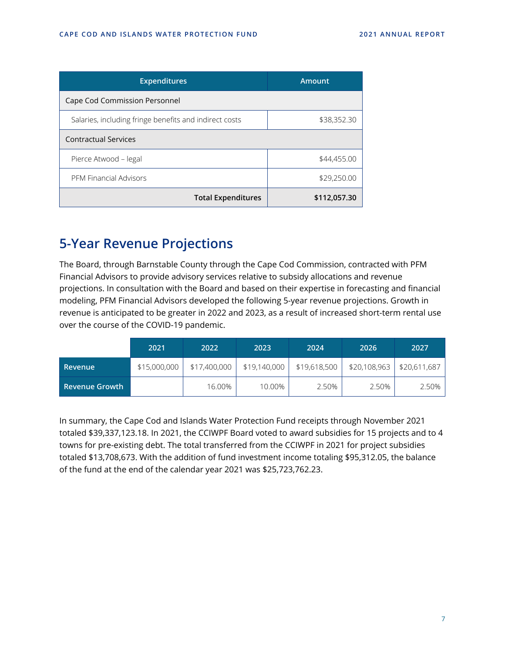| <b>Expenditures</b>                                    | <b>Amount</b> |
|--------------------------------------------------------|---------------|
| Cape Cod Commission Personnel                          |               |
| Salaries, including fringe benefits and indirect costs | \$38,352.30   |
| <b>Contractual Services</b>                            |               |
| Pierce Atwood - legal                                  | \$44,455.00   |
| <b>PFM Financial Advisors</b>                          | \$29,250.00   |
| <b>Total Expenditures</b>                              | \$112,057.30  |

## **5-Year Revenue Projections**

The Board, through Barnstable County through the Cape Cod Commission, contracted with PFM Financial Advisors to provide advisory services relative to subsidy allocations and revenue projections. In consultation with the Board and based on their expertise in forecasting and financial modeling, PFM Financial Advisors developed the following 5-year revenue projections. Growth in revenue is anticipated to be greater in 2022 and 2023, as a result of increased short-term rental use over the course of the COVID-19 pandemic.

|                    | 2021         | 2022         | 2023         | 2024         | 2026                         | 2027  |
|--------------------|--------------|--------------|--------------|--------------|------------------------------|-------|
| Revenue            | \$15,000,000 | \$17,400,000 | \$19,140,000 | \$19,618,500 | $$20,108,963$   \$20,611,687 |       |
| i Revenue Growth ' |              | 16.00%       | 10.00%       | 2.50%        | 2.50%                        | 2.50% |

In summary, the Cape Cod and Islands Water Protection Fund receipts through November 2021 totaled \$39,337,123.18. In 2021, the CCIWPF Board voted to award subsidies for 15 projects and to 4 towns for pre-existing debt. The total transferred from the CCIWPF in 2021 for project subsidies totaled \$13,708,673. With the addition of fund investment income totaling \$95,312.05, the balance of the fund at the end of the calendar year 2021 was \$25,723,762.23.